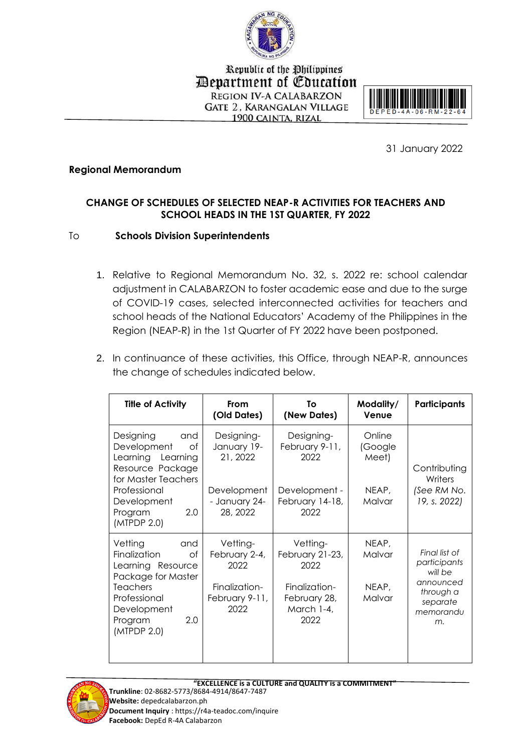

Republic of the Philippines *Department of Education* **REGION IV-A CALABARZON GATE 2. KARANGALAN VILLAGE** 1900 CAINTA, RIZAL



31 January 2022

## **Regional Memorandum**

## **CHANGE OF SCHEDULES OF SELECTED NEAP-R ACTIVITIES FOR TEACHERS AND SCHOOL HEADS IN THE 1ST QUARTER, FY 2022**

## To **Schools Division Superintendents**

- 1. Relative to Regional Memorandum No. 32, s. 2022 re: school calendar adjustment in CALABARZON to foster academic ease and due to the surge of COVID-19 cases, selected interconnected activities for teachers and school heads of the National Educators' Academy of the Philippines in the Region (NEAP-R) in the 1st Quarter of FY 2022 have been postponed.
- 2. In continuance of these activities, this Office, through NEAP-R, announces the change of schedules indicated below.

| <b>Title of Activity</b>                                                                                                                                           | From<br>(Old Dates)                                                          | To<br>(New Dates)                                                                          | Modality/<br>Venue                 | <b>Participants</b>                                                                               |
|--------------------------------------------------------------------------------------------------------------------------------------------------------------------|------------------------------------------------------------------------------|--------------------------------------------------------------------------------------------|------------------------------------|---------------------------------------------------------------------------------------------------|
| Designing<br>and<br>Development<br>Ωf<br>Learning Learning<br>Resource Package<br>for Master Teachers                                                              | Designing-<br>January 19-<br>21, 2022                                        | Designing-<br>February 9-11,<br>2022                                                       | Online<br>(Google<br>Meet)         | Contributing<br>Writers                                                                           |
| Professional<br>Development<br>2.0<br>Program<br>(MTPDP 2.0)                                                                                                       | Development<br>- January 24-<br>28, 2022                                     | Development -<br>February 14-18,<br>2022                                                   | NEAP,<br>Malvar                    | (See RM No.<br>19, s. 2022)                                                                       |
| Vetting<br>and<br>Finalization<br>Οf<br>Learning Resource<br>Package for Master<br><b>Teachers</b><br>Professional<br>Development<br>2.0<br>Program<br>(MTPDP 2.0) | Vetting-<br>February 2-4,<br>2022<br>Finalization-<br>February 9-11,<br>2022 | Vetting-<br>February 21-23,<br>2022<br>Finalization-<br>February 28,<br>March 1-4,<br>2022 | NEAP,<br>Malvar<br>NEAP,<br>Malvar | Final list of<br>participants<br>will be<br>announced<br>through a<br>separate<br>memorandu<br>m. |